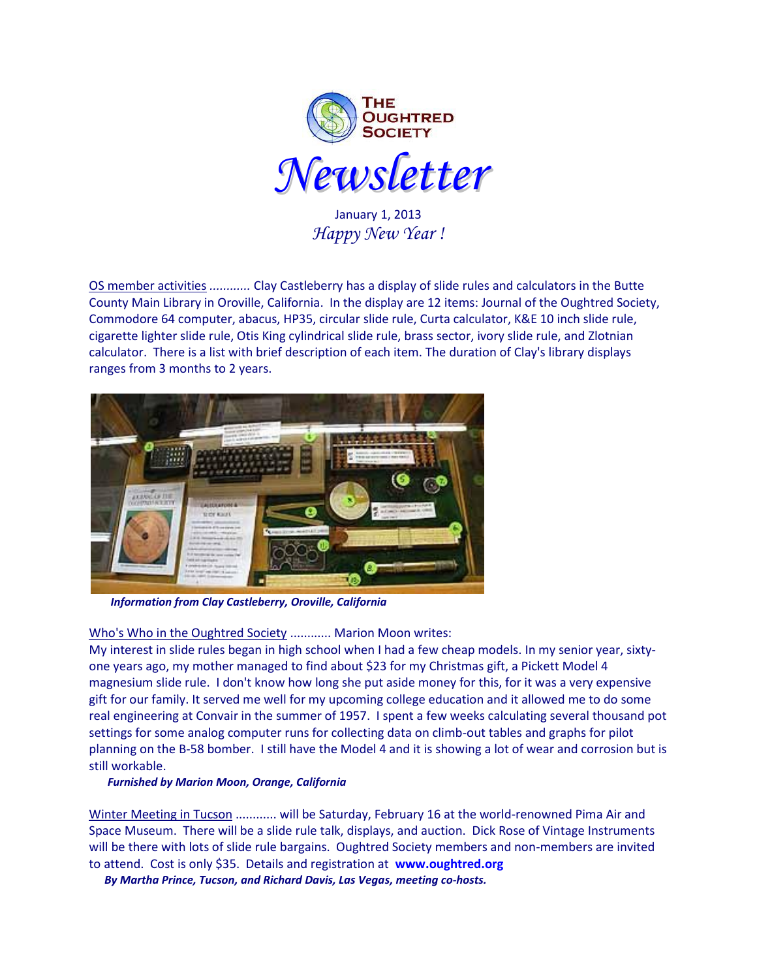

January 1, 2013 *Happy New Year !*

OS member activities *............* Clay Castleberry has a display of slide rules and calculators in the Butte County Main Library in Oroville, California. In the display are 12 items: Journal of the Oughtred Society, Commodore 64 computer, abacus, HP35, circular slide rule, Curta calculator, K&E 10 inch slide rule, cigarette lighter slide rule, Otis King cylindrical slide rule, brass sector, ivory slide rule, and Zlotnian calculator. There is a list with brief description of each item. The duration of Clay's library displays ranges from 3 months to 2 years.



*Information from Clay Castleberry, Oroville, California*

# Who's Who in the Oughtred Society ............ Marion Moon writes:

My interest in slide rules began in high school when I had a few cheap models. In my senior year, sixtyone years ago, my mother managed to find about \$23 for my Christmas gift, a Pickett Model 4 magnesium slide rule. I don't know how long she put aside money for this, for it was a very expensive gift for our family. It served me well for my upcoming college education and it allowed me to do some real engineering at Convair in the summer of 1957. I spent a few weeks calculating several thousand pot settings for some analog computer runs for collecting data on climb-out tables and graphs for pilot planning on the B-58 bomber. I still have the Model 4 and it is showing a lot of wear and corrosion but is still workable.

## *Furnished by Marion Moon, Orange, California*

Winter Meeting in Tucson ............ will be Saturday, February 16 at the world-renowned Pima Air and Space Museum. There will be a slide rule talk, displays, and auction. Dick Rose of Vintage Instruments will be there with lots of slide rule bargains. Oughtred Society members and non-members are invited to attend. Cost is only \$35. Details and registration at **[www.oughtred.org](http://www.oughtred.org/)**

*By Martha Prince, Tucson, and Richard Davis, Las Vegas, meeting co-hosts.*